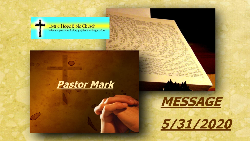





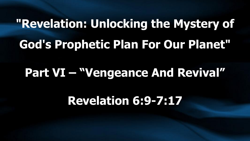### **"Revelation: Unlocking the Mystery of God's Prophetic Plan For Our Planet"**

#### **Part VI – "Vengeance And Revival"**

#### **Revelation 6:9-7:17**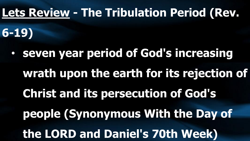#### **Lets Review - The Tribulation Period (Rev.**

**6-19)**

• **seven year period of God's increasing wrath upon the earth for its rejection of Christ and its persecution of God's people (Synonymous With the Day of the LORD and Daniel's 70th Week)**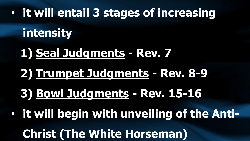#### • **it will entail 3 stages of increasing**

#### **intensity**

#### **1) Seal Judgments - Rev. 7**

### **2) Trumpet Judgments - Rev. 8-9**

#### **3) Bowl Judgments - Rev. 15-16**

#### • **it will begin with unveiling of the Anti-**

#### **Christ (The White Horseman)**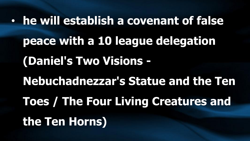• **he will establish a covenant of false peace with a 10 league delegation (Daniel's Two Visions - Nebuchadnezzar's Statue and the Ten Toes / The Four Living Creatures and the Ten Horns)**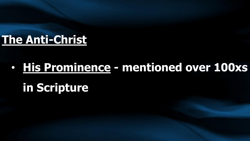#### **The Anti-Christ**

### • **His Prominence - mentioned over 100xs in Scripture**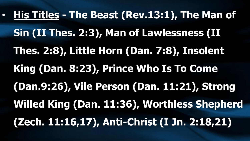• **His Titles - The Beast (Rev.13:1), The Man of Sin (II Thes. 2:3), Man of Lawlessness (II Thes. 2:8), Little Horn (Dan. 7:8), Insolent King (Dan. 8:23), Prince Who Is To Come (Dan.9:26), Vile Person (Dan. 11:21), Strong Willed King (Dan. 11:36), Worthless Shepherd (Zech. 11:16,17), Anti-Christ (I Jn. 2:18,21)**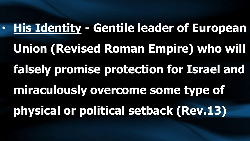• **His Identity - Gentile leader of European Union (Revised Roman Empire) who will falsely promise protection for Israel and miraculously overcome some type of physical or political setback (Rev.13)**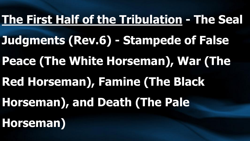### **The First Half of the Tribulation - The Seal**

- **Judgments (Rev.6) - Stampede of False**
- **Peace (The White Horseman), War (The**
- **Red Horseman), Famine (The Black**
- **Horseman), and Death (The Pale**
- **Horseman)**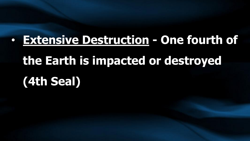## • **Extensive Destruction - One fourth of the Earth is impacted or destroyed (4th Seal)**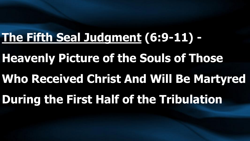#### **The Fifth Seal Judgment (6:9-11) -**

- **Heavenly Picture of the Souls of Those**
- **Who Received Christ And Will Be Martyred**
- **During the First Half of the Tribulation**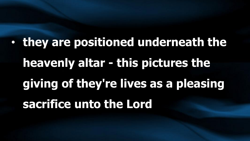• **they are positioned underneath the heavenly altar - this pictures the giving of they're lives as a pleasing sacrifice unto the Lord**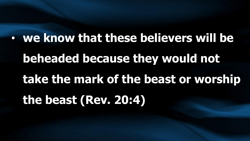• **we know that these believers will be beheaded because they would not take the mark of the beast or worship the beast (Rev. 20:4)**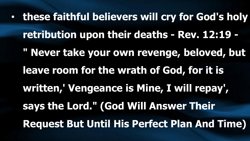• **these faithful believers will cry for God's holy retribution upon their deaths - Rev. 12:19 - " Never take your own revenge, beloved, but leave room for the wrath of God, for it is written,' Vengeance is Mine, I will repay', says the Lord." (God Will Answer Their Request But Until His Perfect Plan And Time)**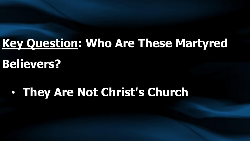#### **Key Question: Who Are These Martyred**

**Believers?**

• **They Are Not Christ's Church**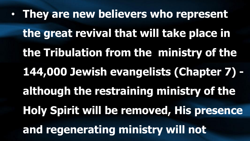• **They are new believers who represent the great revival that will take place in the Tribulation from the ministry of the 144,000 Jewish evangelists (Chapter 7) although the restraining ministry of the Holy Spirit will be removed, His presence and regenerating ministry will not**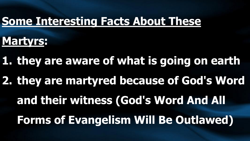#### **Some Interesting Facts About These**

#### **Martyrs:**

**1. they are aware of what is going on earth** 

**2. they are martyred because of God's Word** 

**and their witness (God's Word And All** 

**Forms of Evangelism Will Be Outlawed)**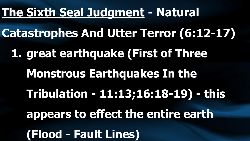#### **The Sixth Seal Judgment - Natural**

**Catastrophes And Utter Terror (6:12-17) 1. great earthquake (First of Three Monstrous Earthquakes In the Tribulation - 11:13;16:18-19) - this appears to effect the entire earth (Flood - Fault Lines)**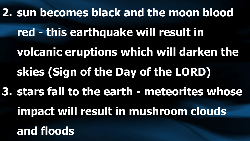**2. sun becomes black and the moon blood red - this earthquake will result in volcanic eruptions which will darken the skies (Sign of the Day of the LORD) 3. stars fall to the earth - meteorites whose impact will result in mushroom clouds and floods**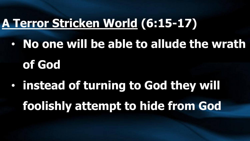#### **A Terror Stricken World (6:15-17)**

- **No one will be able to allude the wrath of God**
- **instead of turning to God they will foolishly attempt to hide from God**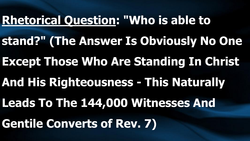# **Rhetorical Question: "Who is able to stand?" (The Answer Is Obviously No One Except Those Who Are Standing In Christ And His Righteousness - This Naturally Leads To The 144,000 Witnesses And Gentile Converts of Rev. 7)**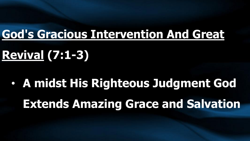#### **God's Gracious Intervention And Great**

### **Revival (7:1-3)**

• **A midst His Righteous Judgment God Extends Amazing Grace and Salvation**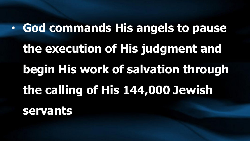• **God commands His angels to pause the execution of His judgment and begin His work of salvation through the calling of His 144,000 Jewish servants**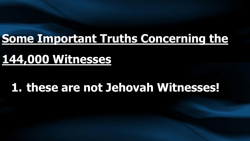#### **Some Important Truths Concerning the**

#### **144,000 Witnesses**

#### **1. these are not Jehovah Witnesses!**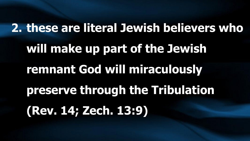# **2. these are literal Jewish believers who will make up part of the Jewish remnant God will miraculously preserve through the Tribulation (Rev. 14; Zech. 13:9)**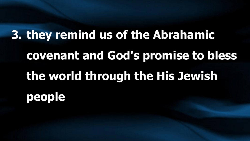**3. they remind us of the Abrahamic covenant and God's promise to bless the world through the His Jewish people**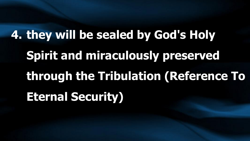**4. they will be sealed by God's Holy Spirit and miraculously preserved through the Tribulation (Reference To Eternal Security)**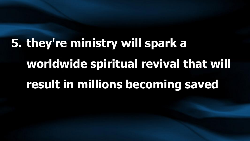## **5. they're ministry will spark a worldwide spiritual revival that will result in millions becoming saved**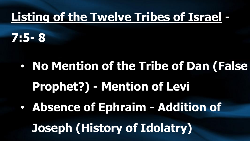#### **Listing of the Twelve Tribes of Israel -**

**7:5- 8**

• **No Mention of the Tribe of Dan (False Prophet?) - Mention of Levi** • **Absence of Ephraim - Addition of Joseph (History of Idolatry)**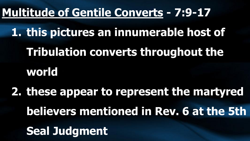#### **Multitude of Gentile Converts - 7:9-17**

**1. this pictures an innumerable host of Tribulation converts throughout the world**

**2. these appear to represent the martyred believers mentioned in Rev. 6 at the 5th Seal Judgment**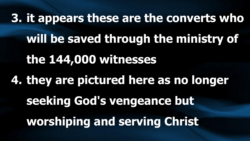**3. it appears these are the converts who will be saved through the ministry of the 144,000 witnesses 4. they are pictured here as no longer seeking God's vengeance but worshiping and serving Christ**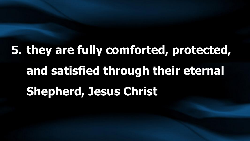**5. they are fully comforted, protected, and satisfied through their eternal Shepherd, Jesus Christ**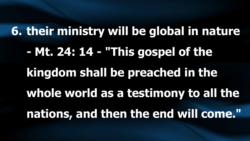**6. their ministry will be global in nature - Mt. 24: 14 - "This gospel of the kingdom shall be preached in the whole world as a testimony to all the nations, and then the end will come."**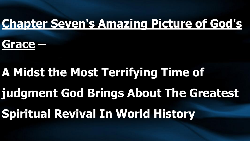#### **Chapter Seven's Amazing Picture of God's**

#### **Grace –**

## **A Midst the Most Terrifying Time of judgment God Brings About The Greatest Spiritual Revival In World History**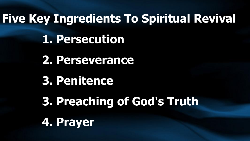**Five Key Ingredients To Spiritual Revival 1. Persecution 2. Perseverance 3. Penitence 3. Preaching of God's Truth 4. Prayer**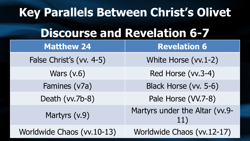| Key Parallels Between Christ's Olivet |                                       |
|---------------------------------------|---------------------------------------|
| <b>Discourse and Revelation 6-7</b>   |                                       |
| <b>Matthew 24</b>                     | <b>Revelation 6</b>                   |
| False Christ's (vv. 4-5)              | White Horse (vv. 1-2)                 |
| Wars $(v.6)$                          | Red Horse (vv.3-4)                    |
| Famines (v7a)                         | Black Horse (vv. 5-6)                 |
| Death (vv.7b-8)                       | Pale Horse (VV.7-8)                   |
| Martyrs (v.9)                         | Martyrs under the Altar (vv.9-<br>11) |
| Worldwide Chaos (vv. 10-13)           | Worldwide Chaos (vv.12-17)            |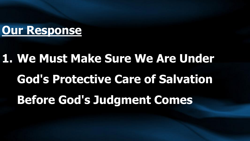#### **Our Response**

## **1. We Must Make Sure We Are Under God's Protective Care of Salvation Before God's Judgment Comes**